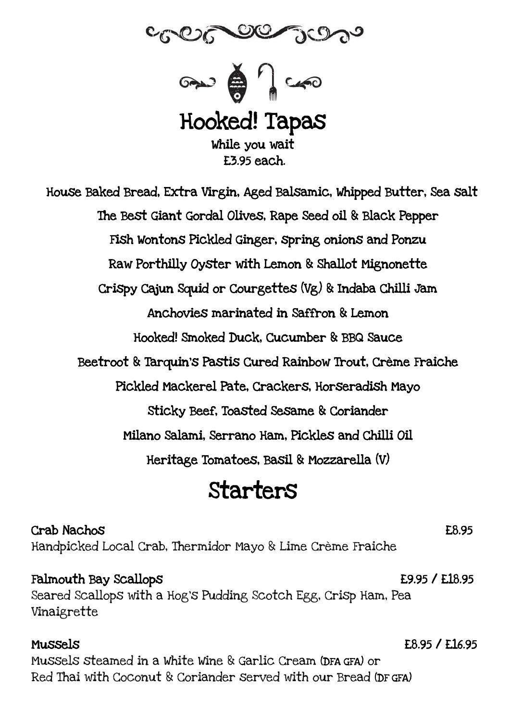



Hooked! Tapas While you wait £3.95 each.

House Baked Bread, Extra Virgin, Aged Balsamic, Whipped Butter, Sea salt The Best Giant Gordal Olives, Rape Seed oil & Black Pepper Fish Wontons Pickled Ginger, spring onions and Ponzu Raw Porthilly Oyster with Lemon & Shallot Mignonette Crispy Cajun Squid or Courgettes (Vg) & Indaba Chilli Jam Anchovies marinated in Saffron & Lemon Hooked! Smoked Duck, Cucumber & BBQ Sauce Beetroot & Tarquin's Pastis Cured Rainbow Trout, Crème Fraiche Pickled Mackerel Pate, Crackers, Horseradish Mayo Sticky Beef, Toasted Sesame & Coriander Milano Salami, Serrano Ham, Pickles and Chilli Oil Heritage Tomatoes, Basil & Mozzarella (V)

## Starters

Crab Nachos £8.95 Handpicked Local Crab, Thermidor Mayo & Lime Crème Fraiche

Falmouth Bay Scallops **2008 E9.95 / E18.95** Seared Scallops with a Hog's Pudding Scotch Egg, Crisp Ham, Pea Vinaigrette

Mussels £8.95 / £16.95 Mussels steamed in a White Wine & Garlic Cream (DFA GFA) or Red Thai with Coconut & Coriander served with our Bread (DF GFA)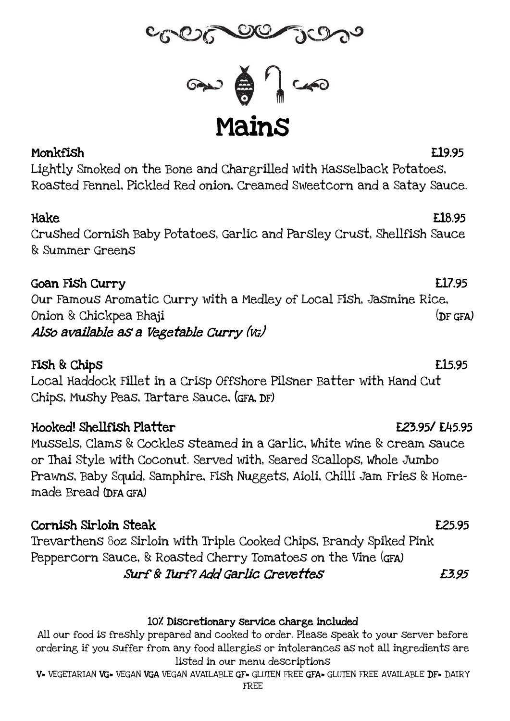

Mains

## Monkfish £19.95

Lightly Smoked on the Bone and Chargrilled with Hasselback Potatoes, Roasted Fennel, Pickled Red onion, Creamed Sweetcorn and a Satay Sauce.

Crushed Cornish Baby Potatoes, Garlic and Parsley Crust, Shellfish Sauce & Summer Greens

## Goan Fish Curry £17.95

Our Famous Aromatic Curry with a Medley of Local Fish, Jasmine Rice, Onion & Chickpea Bhaji (DF GFA) Also available as a Vegetable Curry (VG)

## Fish & Chips **E15.95**

Local Haddock Fillet in a Crisp Offshore Pilsner Batter with Hand Cut Chips, Mushy Peas, Tartare Sauce, (GFA, DF)

## Hooked! Shellfish Platter £23.95/ £45.95

Mussels, Clams & Cockles steamed in a Garlic, White wine & cream sauce or Thai Style with Coconut. Served with, Seared Scallops, Whole Jumbo Prawns, Baby Squid, Samphire, Fish Nuggets, Aioli, Chilli Jam Fries & Homemade Bread (DFA GFA)

## Cornish Sirloin Steak £25.95

Trevarthens 8oz Sirloin with Triple Cooked Chips, Brandy Spiked Pink Peppercorn Sauce, & Roasted Cherry Tomatoes on the Vine (GFA) Surf & Turf? Add Garlic Crevettes £3.95

### 10% Discretionary service charge included

All our food is freshly prepared and cooked to order. Please speak to your server before ordering if you suffer from any food allergies or intolerances as not all ingredients are listed in our menu descriptions

V= VEGETARIAN VG= VEGAN VGA VEGAN AVAILABLE GF= GLUTEN FREE GFA= GLUTEN FREE AVAILABLE DF= DAIRY

## Hake Electric contract the contract of the contract of the contract of the contract of the contract of the contract of the contract of the contract of the contract of the contract of the contract of the contract of the con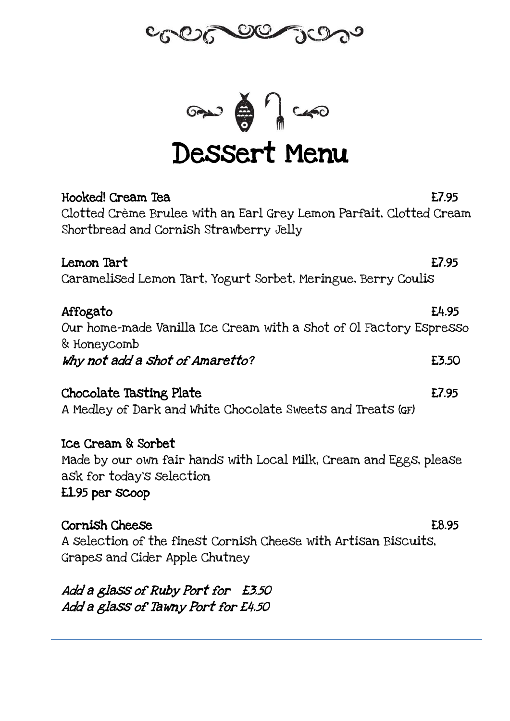



# Dessert Menu

| Hooked! Cream Tea                                                                 | E7.95 |
|-----------------------------------------------------------------------------------|-------|
| Clotted Crème Brulee with an Earl Grey Lemon Parfait, Clotted Cream               |       |
| Shortbread and Cornish Strawberry Jelly                                           |       |
| Lemon Tart                                                                        | E7.95 |
| Caramelised Lemon Tart, Yogurt Sorbet, Meringue, Berry Coulis                     |       |
| Affogato                                                                          | E4.95 |
| Our home-made Vanilla Ice Cream with a shot of Ol Factory Espresso<br>& Honeycomb |       |
| Why not add a shot of Amaretto?                                                   | E3.50 |
| Chocolate Tasting Plate                                                           | E7.95 |
| A Medley of Dark and White Chocolate Sweets and Treats (GF)                       |       |
| Ice Cream & Sorbet                                                                |       |
| Made by our own fair hands with Local Milk, Cream and Eggs, please                |       |
| ask for today's selection<br>E1.95 per scoop                                      |       |
| Cornish Cheese                                                                    | E8.95 |
| A selection of the finest Cornish Cheese with Artisan Biscuits,                   |       |
| Grapes and Cider Apple Chutney                                                    |       |
| Add a glass of Ruby Port for £3.50                                                |       |

Add a glass of Tawny Port for £4.50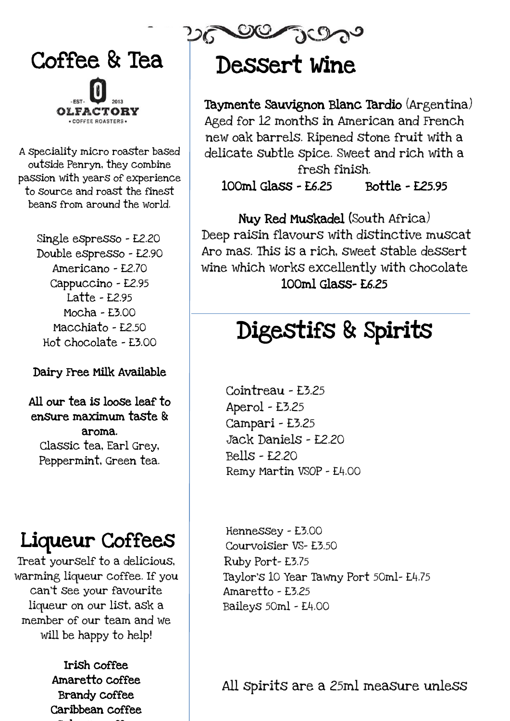

A speciality micro roaster based outside Penryn, they combine passion with years of experience to source and roast the finest beans from around the world.

> Single espresso - £2.20 Double espresso - £2.90 Americano - £2.70 Cappuccino - £2.95 Latte - £2.95 Mocha - £3.00 Macchiato - £2.50 Hot chocolate - £3.00

### Dairy Free Milk Available

All our tea is loose leaf to ensure maximum taste & aroma. Classic tea, Earl Grey, Peppermint, Green tea.

## Liqueur Coffees

will be happy to help! Treat yourself to a delicious, warming liqueur coffee. If you can't see your favourite liqueur on our list, ask a member of our team and we

> Irish coffee Amaretto coffee Brandy coffee Caribbean coffee

# Dessert Wine

 Taymente Sauvignon Blanc Tardio (Argentina) Aged for 12 months in American and French new oak barrels. Ripened stone fruit with a delicate subtle spice. Sweet and rich with a fresh finish.

100ml Glass - £6.25 Bottle - £25.95

Nuy Red Muskadel (South Africa) Deep raisin flavours with distinctive muscat Aro mas. This is a rich, sweet stable dessert wine which works excellently with chocolate 100ml Glass- £6.25

# Digestifs & Spirits

 $\overline{a}$ 

Cointreau - £3.25 Aperol - £3.25 Campari - £3.25 Jack Daniels - £2.20 Bells - £2.20 Remy Martin VSOP - £4.00

 Hennessey - £3.00 Courvoisier VS- £3.50 Ruby Port- £3.75 Taylor's 10 Year Tawny Port 50ml- £4.75 Amaretto - £3.25 Baileys 50ml - £4.00

All spirits are a 25ml measure unless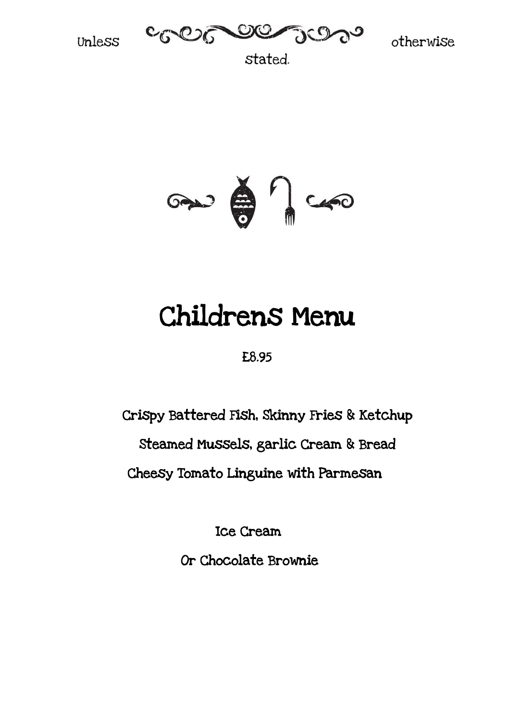



stated.



# Childrens Menu

£8.95

Crispy Battered Fish, Skinny Fries & Ketchup

Steamed Mussels, garlic Cream & Bread

Cheesy Tomato Linguine with Parmesan

Ice Cream

Or Chocolate Brownie